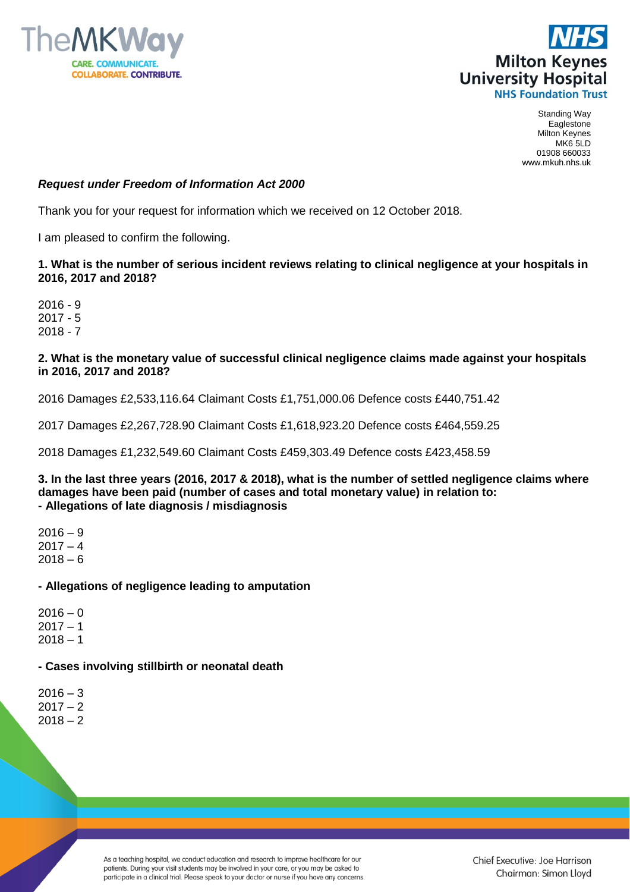



Standing Way Eaglestone Milton Keynes MK6 5LD 01908 660033 www.mkuh.nhs.uk

# *Request under Freedom of Information Act 2000*

Thank you for your request for information which we received on 12 October 2018.

I am pleased to confirm the following.

# **1. What is the number of serious incident reviews relating to clinical negligence at your hospitals in 2016, 2017 and 2018?**

2016 - 9 2017 - 5 2018 - 7

# **2. What is the monetary value of successful clinical negligence claims made against your hospitals in 2016, 2017 and 2018?**

2016 Damages £2,533,116.64 Claimant Costs £1,751,000.06 Defence costs £440,751.42

2017 Damages £2,267,728.90 Claimant Costs £1,618,923.20 Defence costs £464,559.25

2018 Damages £1,232,549.60 Claimant Costs £459,303.49 Defence costs £423,458.59

### **3. In the last three years (2016, 2017 & 2018), what is the number of settled negligence claims where damages have been paid (number of cases and total monetary value) in relation to: - Allegations of late diagnosis / misdiagnosis**

 $2016 - 9$  $2017 - 4$  $2018 - 6$ 

# **- Allegations of negligence leading to amputation**

 $2016 - 0$  $2017 - 1$  $2018 - 1$ 

# **- Cases involving stillbirth or neonatal death**

 $2016 - 3$  $2017 - 2$  $2018 - 2$ 

> As a teaching hospital, we conduct education and research to improve healthcare for our patients. During your visit students may be involved in your care, or you may be asked to participate in a clinical trial. Please speak to your doctor or nurse if you have any concerns.